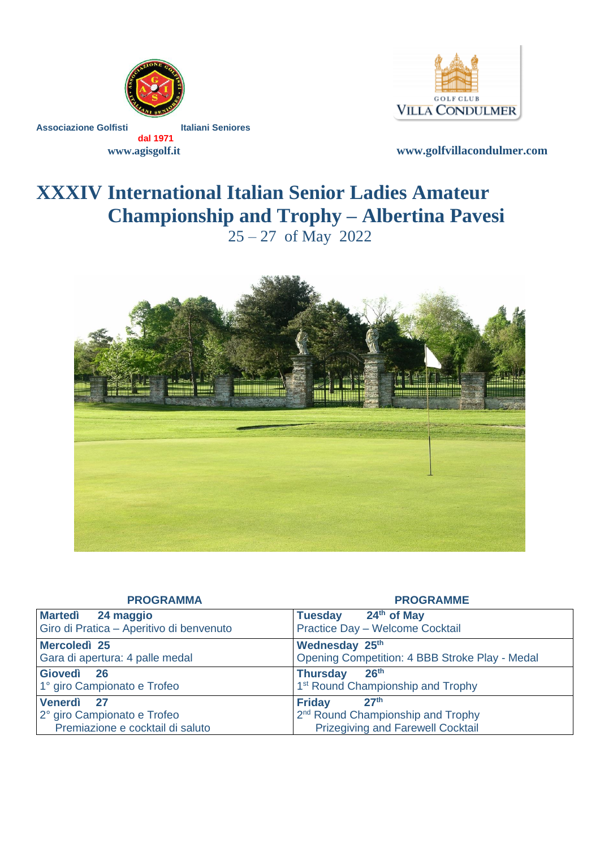

Associazione Golfisti **Italiani Seniores** 



 **dal 1971**

 **www.agisgolf.it [www.golfvillacondulmer.com](http://www.golfvillacondulmer.com/)**

# **XXXIV International Italian Senior Ladies Amateur Championship and Trophy – Albertina Pavesi**  $25 - 27$  of May 2022



| <b>PROGRAMMA</b>                         | <b>PROGRAMME</b>                               |  |  |
|------------------------------------------|------------------------------------------------|--|--|
| Martedì 24 maggio                        | $24th$ of May<br><b>Tuesday</b>                |  |  |
| Giro di Pratica - Aperitivo di benvenuto | Practice Day - Welcome Cocktail                |  |  |
| Mercoledì 25                             | Wednesday 25th                                 |  |  |
| Gara di apertura: 4 palle medal          | Opening Competition: 4 BBB Stroke Play - Medal |  |  |
| Giovedì<br><b>26</b>                     | 26 <sup>th</sup><br><b>Thursday</b>            |  |  |
| 1° giro Campionato e Trofeo              | 1 <sup>st</sup> Round Championship and Trophy  |  |  |
| Venerdì<br>27                            | 27 <sup>th</sup><br><b>Friday</b>              |  |  |
| 2° giro Campionato e Trofeo              | 2 <sup>nd</sup> Round Championship and Trophy  |  |  |
| Premiazione e cocktail di saluto         | <b>Prizegiving and Farewell Cocktail</b>       |  |  |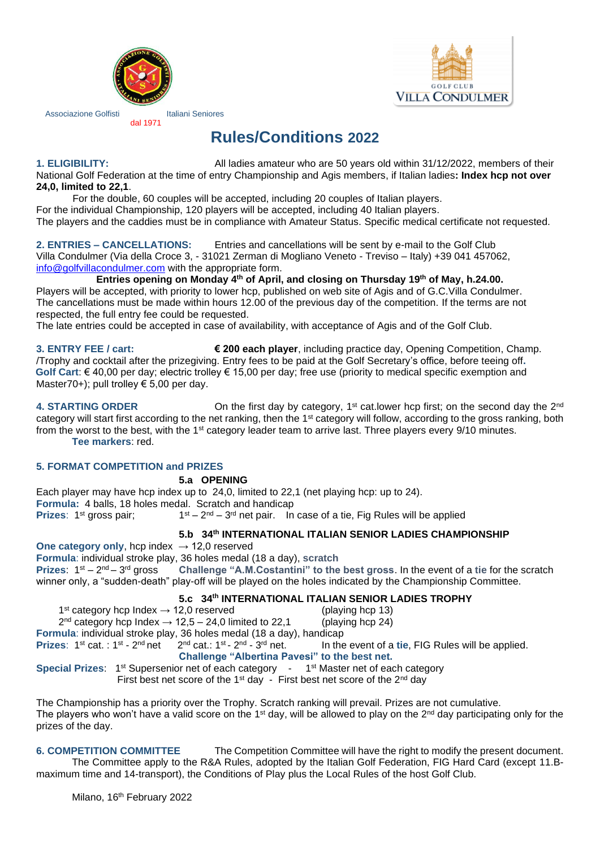



Associazione Golfisti **Italiani Seniores** 

dal 1971

## **Rules/Conditions 2022**

**1. ELIGIBILITY:** All ladies amateur who are 50 years old within 31/12/2022, members of their National Golf Federation at the time of entry Championship and Agis members, if Italian ladies**: Index hcp not over 24,0, limited to 22,1**.

For the double, 60 couples will be accepted, including 20 couples of Italian players.

For the individual Championship, 120 players will be accepted, including 40 Italian players.

The players and the caddies must be in compliance with Amateur Status. Specific medical certificate not requested.

**2. ENTRIES – CANCELLATIONS:** Entries and cancellations will be sent by e-mail to the Golf Club Villa Condulmer (Via della Croce 3, - 31021 Zerman di Mogliano Veneto - Treviso – Italy) +39 041 457062, [info@golfvillacondulmer.com](mailto:info@golfvillacondulmer.com) with the appropriate form.

**Entries opening on Monday 4 th of April, and closing on Thursday 19th of May, h.24.00.** Players will be accepted, with priority to lower hcp, published on web site of Agis and of G.C.Villa Condulmer. The cancellations must be made within hours 12.00 of the previous day of the competition. If the terms are not respected, the full entry fee could be requested.

The late entries could be accepted in case of availability, with acceptance of Agis and of the Golf Club.

**3. ENTRY FEE / cart: € 200 each player**, including practice day, Opening Competition, Champ. /Trophy and cocktail after the prizegiving. Entry fees to be paid at the Golf Secretary's office, before teeing off**. Golf Cart**: € 40,00 per day; electric trolley € 15,00 per day; free use (priority to medical specific exemption and Master70+); pull trolley  $\epsilon$  5,00 per day.

4. **STARTING ORDER On the first day by category, 1<sup>st</sup> cat.lower hcp first; on the second day the 2<sup>nd</sup>** category will start first according to the net ranking, then the 1st category will follow, according to the gross ranking, both from the worst to the best, with the 1<sup>st</sup> category leader team to arrive last. Three players every 9/10 minutes. **Tee markers**: red.

#### **5. FORMAT COMPETITION and PRIZES**

#### **5.a OPENING**

Each player may have hcp index up to 24,0, limited to 22,1 (net playing hcp: up to 24). **Formula:** 4 balls, 18 holes medal. Scratch and handicap **Prizes:** 1<sup>st</sup> gross pair; 1  $s$ t – 2<sup>nd</sup> – 3<sup>rd</sup> net pair. In case of a tie, Fig Rules will be applied

#### **5.b 34th INTERNATIONAL ITALIAN SENIOR LADIES CHAMPIONSHIP**

**One category only, hcp index**  $\rightarrow$  **12.0 reserved Formula**: individual stroke play, 36 holes medal (18 a day), **scratch Prizes:**  $1^{st} - 2^{nd} - 3$ Challenge "A.M.Costantini" to the best gross. In the event of a tie for the scratch winner only, a "sudden-death" play-off will be played on the holes indicated by the Championship Committee.

#### **5.c 34th INTERNATIONAL ITALIAN SENIOR LADIES TROPHY**

1<sup>st</sup> category hcp Index → 12,0 reserved (playing hcp 13)  $2<sup>nd</sup>$  category hcp Index  $\rightarrow$  12,5 – 24,0 limited to 22,1 (playing hcp 24)

**Formula**: individual stroke play, 36 holes medal (18 a day), handicap

**Prizes: 1st cat.: 1st - 2**  $^{\text{nd}}$  net 2<sup>nd</sup> cat.: 1st - 2<sup>nd</sup> - 3 In the event of a tie, FIG Rules will be applied.

#### **Challenge "Albertina Pavesi" to the best net.**

**Special Prizes: 1st Supersenior net of each category -**1<sup>st</sup> Master net of each category

First best net score of the 1<sup>st</sup> day - First best net score of the 2<sup>nd</sup> day

The Championship has a priority over the Trophy. Scratch ranking will prevail. Prizes are not cumulative. The players who won't have a valid score on the 1<sup>st</sup> day, will be allowed to play on the 2<sup>nd</sup> day participating only for the prizes of the day.

**6. COMPETITION COMMITTEE** The Competition Committee will have the right to modify the present document. The Committee apply to the R&A Rules, adopted by the Italian Golf Federation, FIG Hard Card (except 11.Bmaximum time and 14-transport), the Conditions of Play plus the Local Rules of the host Golf Club.